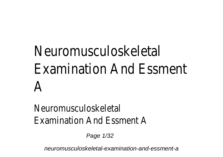# Neuromusculoskeletal Examination And Essment A

## Neuromusculoskeletal Examination And Essment A

Page 1/32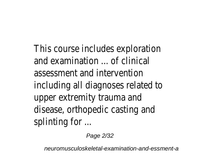This course includes exploration and examination ... of clinical assessment and intervention including all diagnoses related to upper extremity trauma and disease, orthopedic casting and splinting for ...

Page 2/32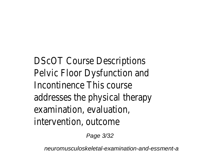DScOT Course Descriptions Pelvic Floor Dysfunction and Incontinence This course addresses the physical therapy examination, evaluation, intervention, outcome

Page 3/32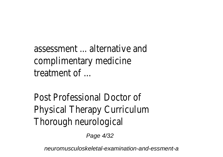assessment ... alternative and complimentary medicine treatment of ...

Post Professional Doctor of Physical Therapy Curriculum Thorough neurological

Page 4/32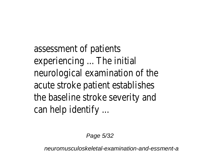assessment of patients experiencing ... The initial neurological examination of the acute stroke patient establishes the baseline stroke severity and can help identify ...

Page 5/32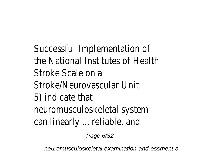Successful Implementation of the National Institutes of Health Stroke Scale on a Stroke/Neurovascular Unit 5) indicate that neuromusculoskeletal system can linearly ... reliable, and

Page 6/32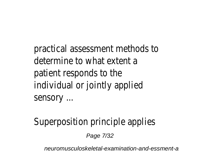practical assessment methods to determine to what extent a patient responds to the individual or jointly applied sensory ...

Superposition principle applies

Page 7/32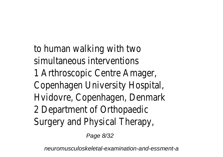to human walking with two simultaneous interventions 1 Arthroscopic Centre Amager, Copenhagen University Hospital, Hvidovre, Copenhagen, Denmark 2 Department of Orthopaedic Surgery and Physical Therapy,

Page 8/32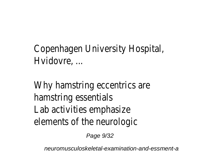# Copenhagen University Hospital, Hvidovre, ...

Why hamstring eccentrics are hamstring essentials Lab activities emphasize elements of the neurologic

Page 9/32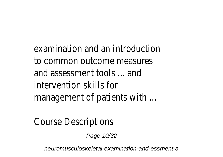examination and an introduction to common outcome measures and assessment tools ... and intervention skills for management of patients with ...

Course Descriptions

Page 10/32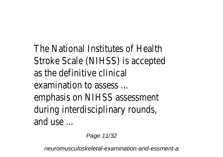The National Institutes of Health Stroke Scale (NIHSS) is accepted as the definitive clinical examination to assess ... emphasis on NIHSS assessment during interdisciplinary rounds, and use ...

Page 11/32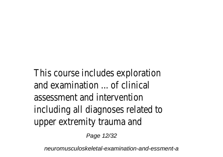This course includes exploration and examination ... of clinical assessment and intervention including all diagnoses related to upper extremity trauma and

Page 12/32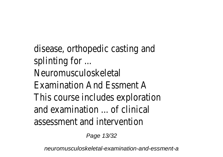disease, orthopedic casting and splinting for ... Neuromusculoskeletal Examination And Essment A This course includes exploration and examination ... of clinical assessment and intervention

Page 13/32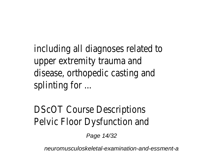including all diagnoses related to upper extremity trauma and disease, orthopedic casting and splinting for ...

DScOT Course Descriptions Pelvic Floor Dysfunction and

Page 14/32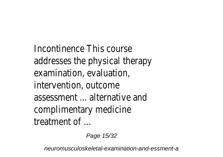Incontinence This course addresses the physical therapy examination, evaluation, intervention, outcome assessment ... alternative and complimentary medicine treatment of

Page 15/32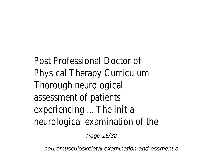Post Professional Doctor of Physical Therapy Curriculum Thorough neurological assessment of patients experiencing ... The initial neurological examination of the

Page 16/32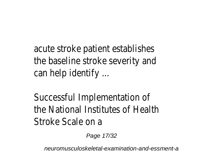acute stroke patient establishes the baseline stroke severity and can help identify ...

Successful Implementation of the National Institutes of Health Stroke Scale on a

Page 17/32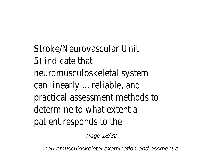Stroke/Neurovascular Unit 5) indicate that neuromusculoskeletal system can linearly ... reliable, and practical assessment methods to determine to what extent a patient responds to the

Page 18/32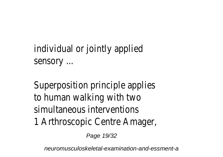individual or jointly applied sensory ...

Superposition principle applies to human walking with two simultaneous interventions 1 Arthroscopic Centre Amager,

Page 19/32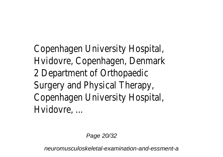Copenhagen University Hospital, Hvidovre, Copenhagen, Denmark 2 Department of Orthopaedic Surgery and Physical Therapy, Copenhagen University Hospital, Hvidovre, ...

Page 20/32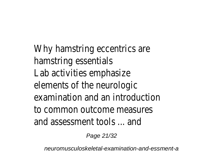Why hamstring eccentrics are hamstring essentials Lab activities emphasize elements of the neurologic examination and an introduction to common outcome measures and assessment tools ... and

Page 21/32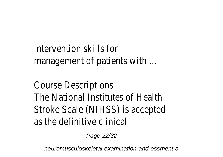intervention skills for management of patients with ...

Course Descriptions The National Institutes of Health Stroke Scale (NIHSS) is accepted as the definitive clinical

Page 22/32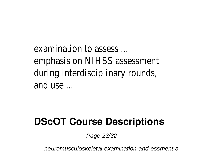examination to assess ... emphasis on NIHSS assessment during interdisciplinary rounds, and  $use$ 

#### **DScOT Course Descriptions**

Page 23/32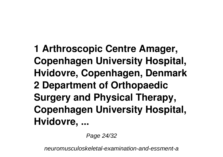**1 Arthroscopic Centre Amager, Copenhagen University Hospital, Hvidovre, Copenhagen, Denmark 2 Department of Orthopaedic Surgery and Physical Therapy, Copenhagen University Hospital, Hvidovre, ...**

Page 24/32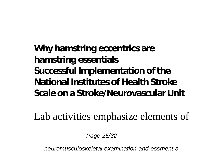**Why hamstring eccentrics are hamstring essentials Successful Implementation of the National Institutes of Health Stroke Scale on a Stroke/Neurovascular Unit**

Lab activities emphasize elements of

Page 25/32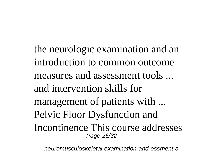the neurologic examination and an introduction to common outcome measures and assessment tools ... and intervention skills for management of patients with ... Pelvic Floor Dysfunction and Incontinence This course addresses Page 26/32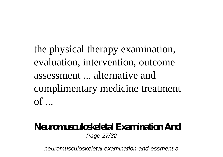the physical therapy examination, evaluation, intervention, outcome assessment ... alternative and complimentary medicine treatment  $\alpha$ f  $\alpha$ 

# **Neuromusculoskeletal Examination And**

Page 27/32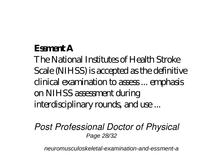#### **Essment A**

The National Institutes of Health Stroke Scale (NIHSS) is accepted as the definitive clinical examination to assess ... emphasis on NIHSS assessment during interdisciplinary rounds, and use...

*Post Professional Doctor of Physical* Page 28/32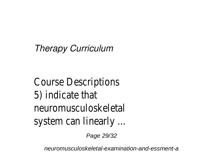*Therapy Curriculum*

Course Descriptions 5) indicate that neuromusculoskeletal system can linearly ...

Page 29/32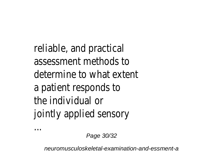reliable, and practical assessment methods to determine to what extent a patient responds to the individual or jointly applied sensory

Page 30/32

...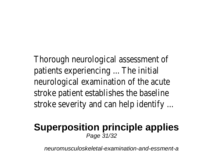Thorough neurological assessment of patients experiencing ... The initial neurological examination of the acute stroke patient establishes the baseline stroke severity and can help identify ...

#### **Superposition principle applies** Page 31/32